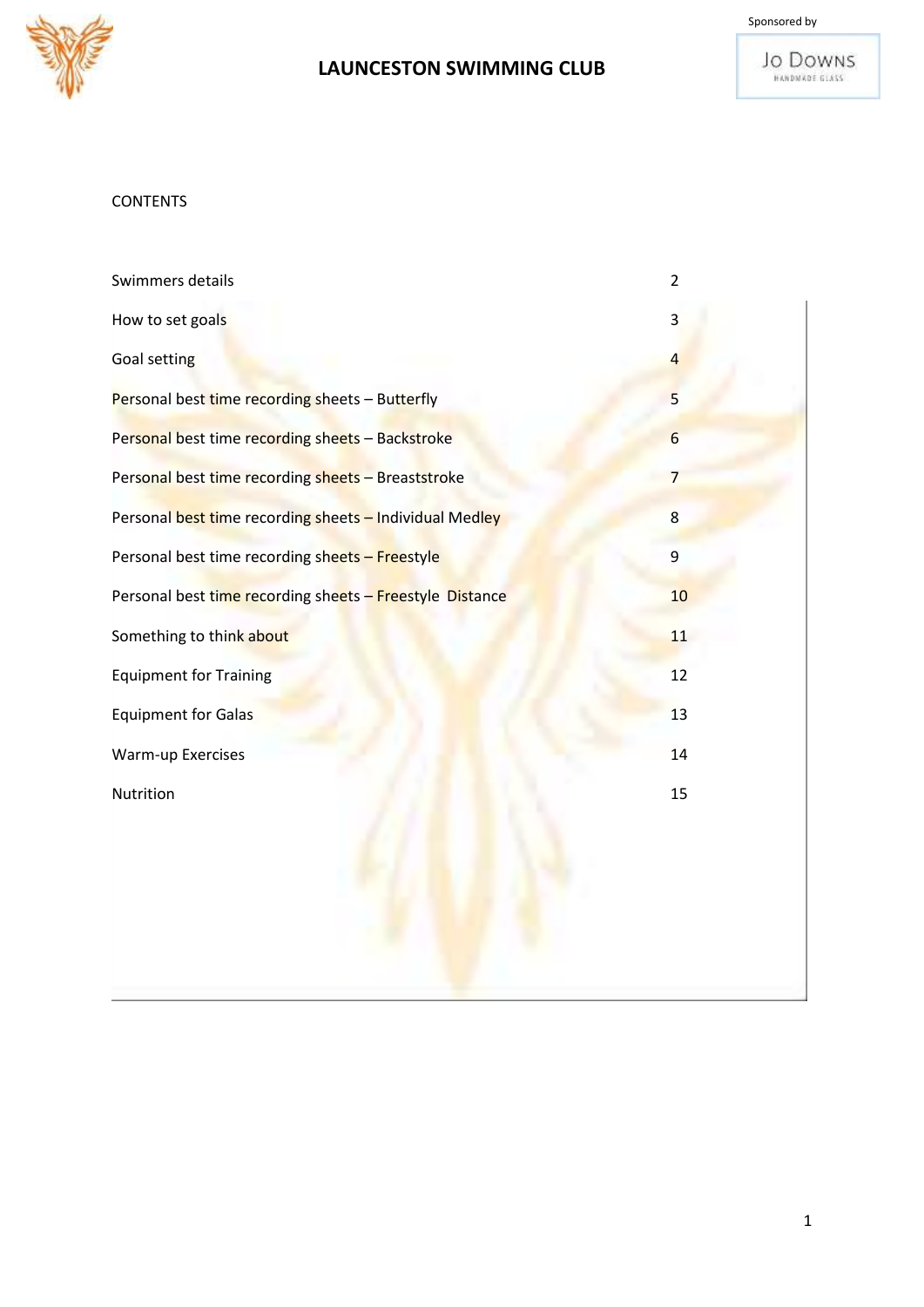



#### **CONTENTS**

| Swimmers details                                         | $\overline{2}$  |
|----------------------------------------------------------|-----------------|
| How to set goals                                         | 3               |
| Goal setting                                             | 4               |
| Personal best time recording sheets - Butterfly          | 5               |
| Personal best time recording sheets - Backstroke         | $6\overline{6}$ |
| Personal best time recording sheets - Breaststroke       | $\overline{7}$  |
| Personal best time recording sheets - Individual Medley  | $\overline{8}$  |
| Personal best time recording sheets - Freestyle          | 9               |
| Personal best time recording sheets - Freestyle Distance | 10              |
| Something to think about                                 | 11              |
| <b>Equipment for Training</b>                            | 12              |
| <b>Equipment for Galas</b>                               | 13              |
| Warm-up Exercises                                        | 14              |
| Nutrition                                                | 15              |
|                                                          |                 |
|                                                          |                 |
|                                                          |                 |
|                                                          |                 |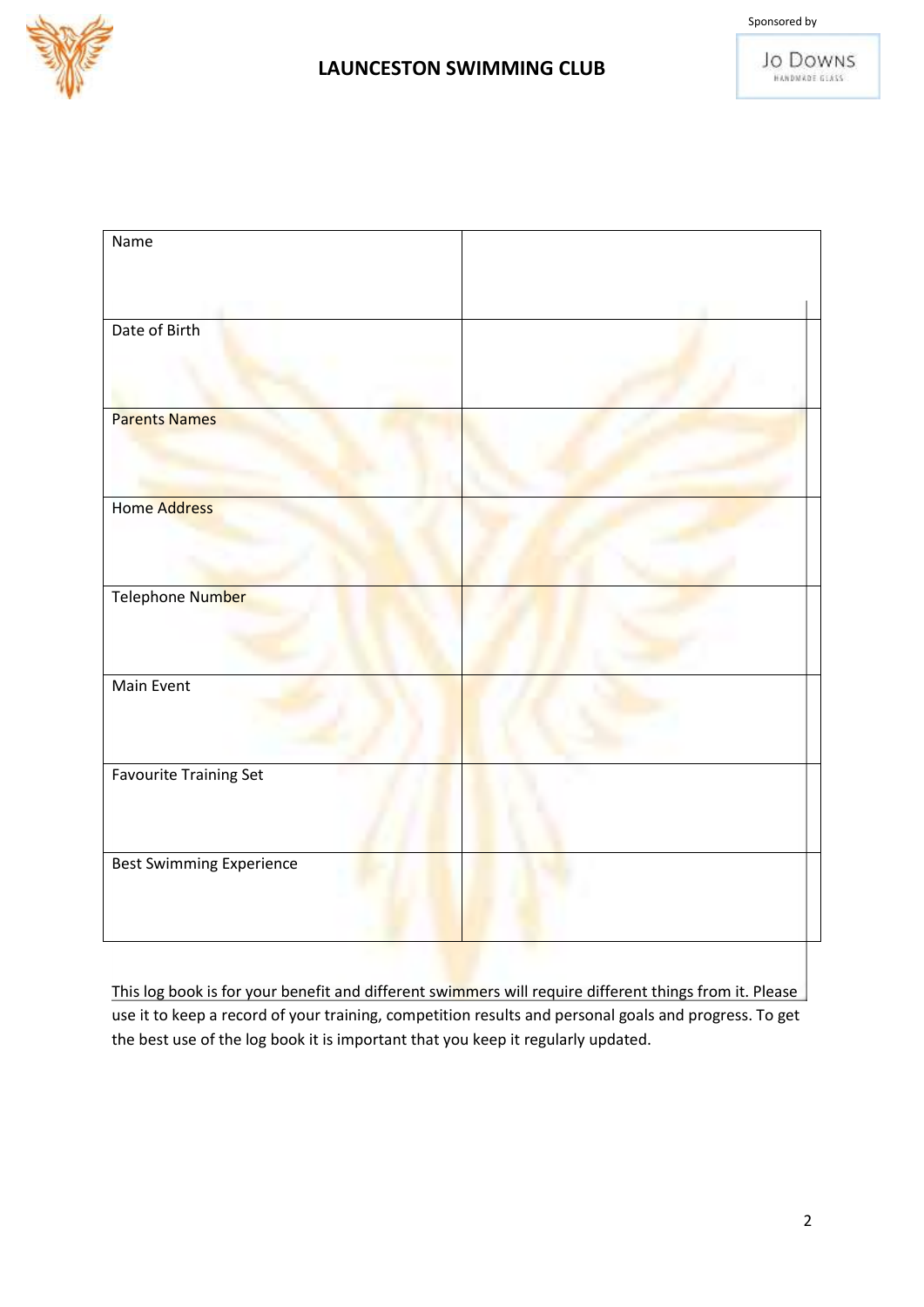



| Name                            |  |
|---------------------------------|--|
|                                 |  |
|                                 |  |
|                                 |  |
| Date of Birth                   |  |
|                                 |  |
|                                 |  |
|                                 |  |
| <b>Parents Names</b>            |  |
|                                 |  |
|                                 |  |
|                                 |  |
| Home Address                    |  |
|                                 |  |
|                                 |  |
|                                 |  |
| Telephone Number                |  |
|                                 |  |
|                                 |  |
|                                 |  |
| Main Event                      |  |
|                                 |  |
|                                 |  |
| <b>Favourite Training Set</b>   |  |
|                                 |  |
|                                 |  |
|                                 |  |
| <b>Best Swimming Experience</b> |  |
|                                 |  |
|                                 |  |
|                                 |  |

This log book is for your benefit and different swimmers will require different things from it. Please use it to keep a record of your training, competition results and personal goals and progress. To get the best use of the log book it is important that you keep it regularly updated.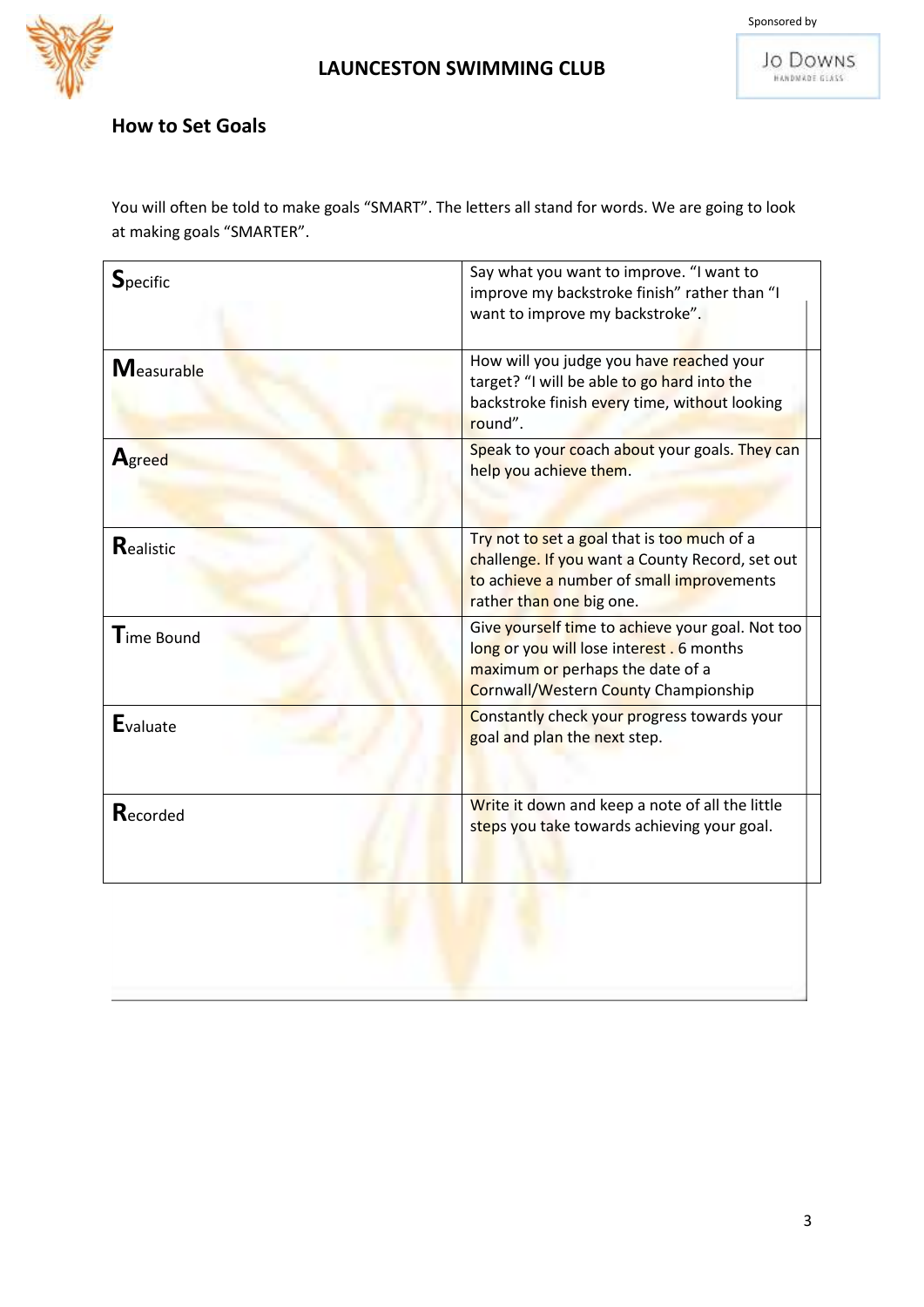



## **How to Set Goals**

You will often be told to make goals "SMART". The letters all stand for words. We are going to look at making goals "SMARTER".

| $S_{\text{pecific}}$   | Say what you want to improve. "I want to<br>improve my backstroke finish" rather than "I<br>want to improve my backstroke".                                                      |
|------------------------|----------------------------------------------------------------------------------------------------------------------------------------------------------------------------------|
| <b>Measurable</b>      | How will you judge you have reached your<br>target? "I will be able to go hard into the<br>backstroke finish every time, without looking<br>round".                              |
| Agreed                 | Speak to your coach about your goals. They can<br>help you achieve them.                                                                                                         |
| Realistic              | Try not to set a goal that is too much of a<br>challenge. If you want a County Record, set out<br>to achieve a number of small improvements<br>rather than one big one.          |
| $\mathsf{T}$ ime Bound | Give yourself time to achieve your goal. Not too<br>long or you will lose interest . 6 months<br>maximum or perhaps the date of a<br><b>Cornwall/Western County Championship</b> |
| <b>E</b> valuate       | Constantly check your progress towards your<br>goal and plan the next step.                                                                                                      |
| Recorded               | Write it down and keep a note of all the little<br>steps you take towards achieving your goal.                                                                                   |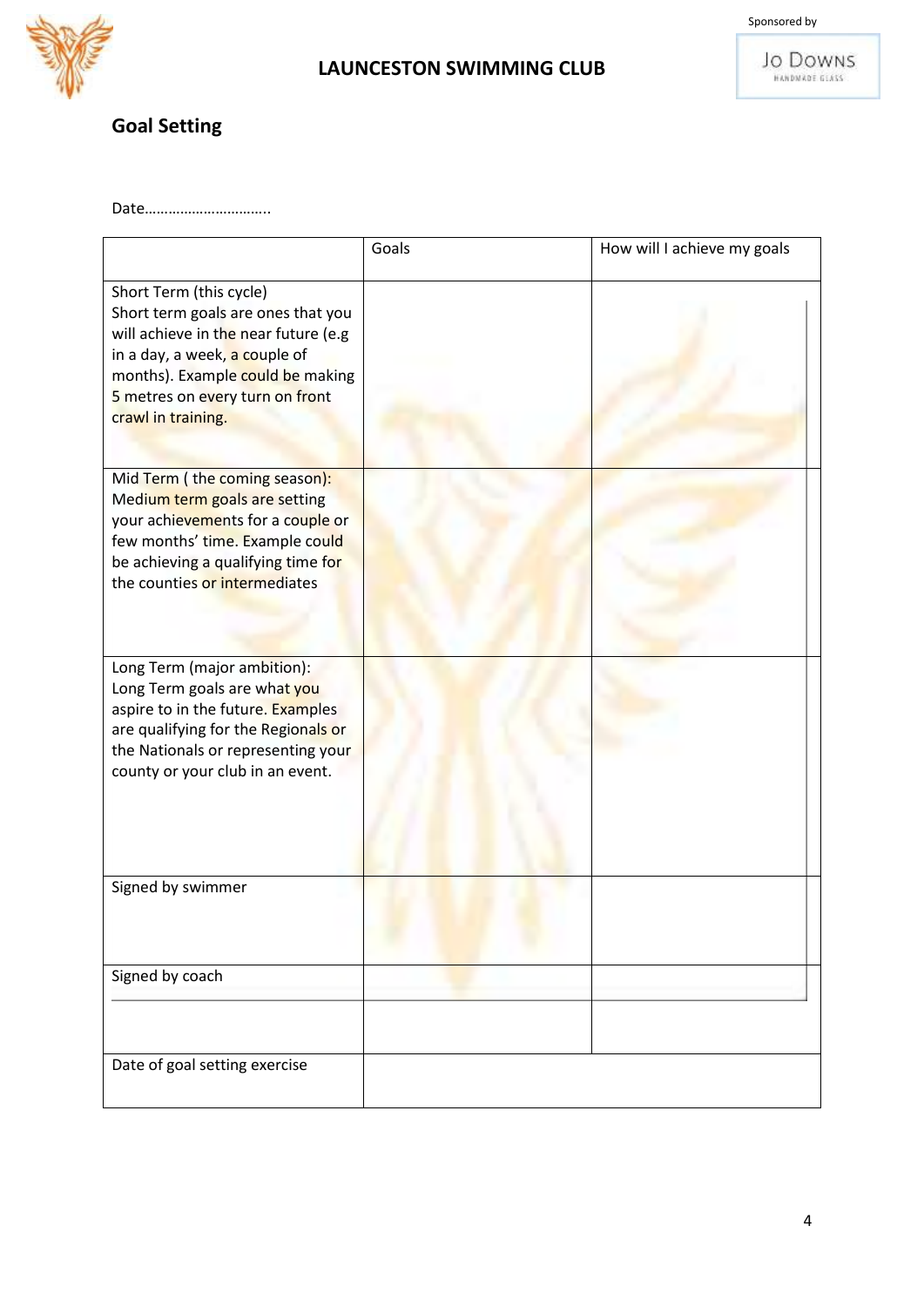



## **Goal Setting**

Date…………………………..

|                                                                                                                                                                                                                                     | Goals | How will I achieve my goals |
|-------------------------------------------------------------------------------------------------------------------------------------------------------------------------------------------------------------------------------------|-------|-----------------------------|
| Short Term (this cycle)<br>Short term goals are ones that you<br>will achieve in the near future (e.g<br>in a day, a week, a couple of<br>months). Example could be making<br>5 metres on every turn on front<br>crawl in training. |       |                             |
| Mid Term (the coming season):<br>Medium term goals are setting<br>your achievements for a couple or<br>few months' time. Example could<br>be achieving a qualifying time for<br>the counties or intermediates                       |       |                             |
| Long Term (major ambition):<br>Long Term goals are what you<br>aspire to in the future. Examples<br>are qualifying for the Regionals or<br>the Nationals or representing your<br>county or your club in an event.                   |       |                             |
| Signed by swimmer                                                                                                                                                                                                                   |       |                             |
| Signed by coach                                                                                                                                                                                                                     |       |                             |
| Date of goal setting exercise                                                                                                                                                                                                       |       |                             |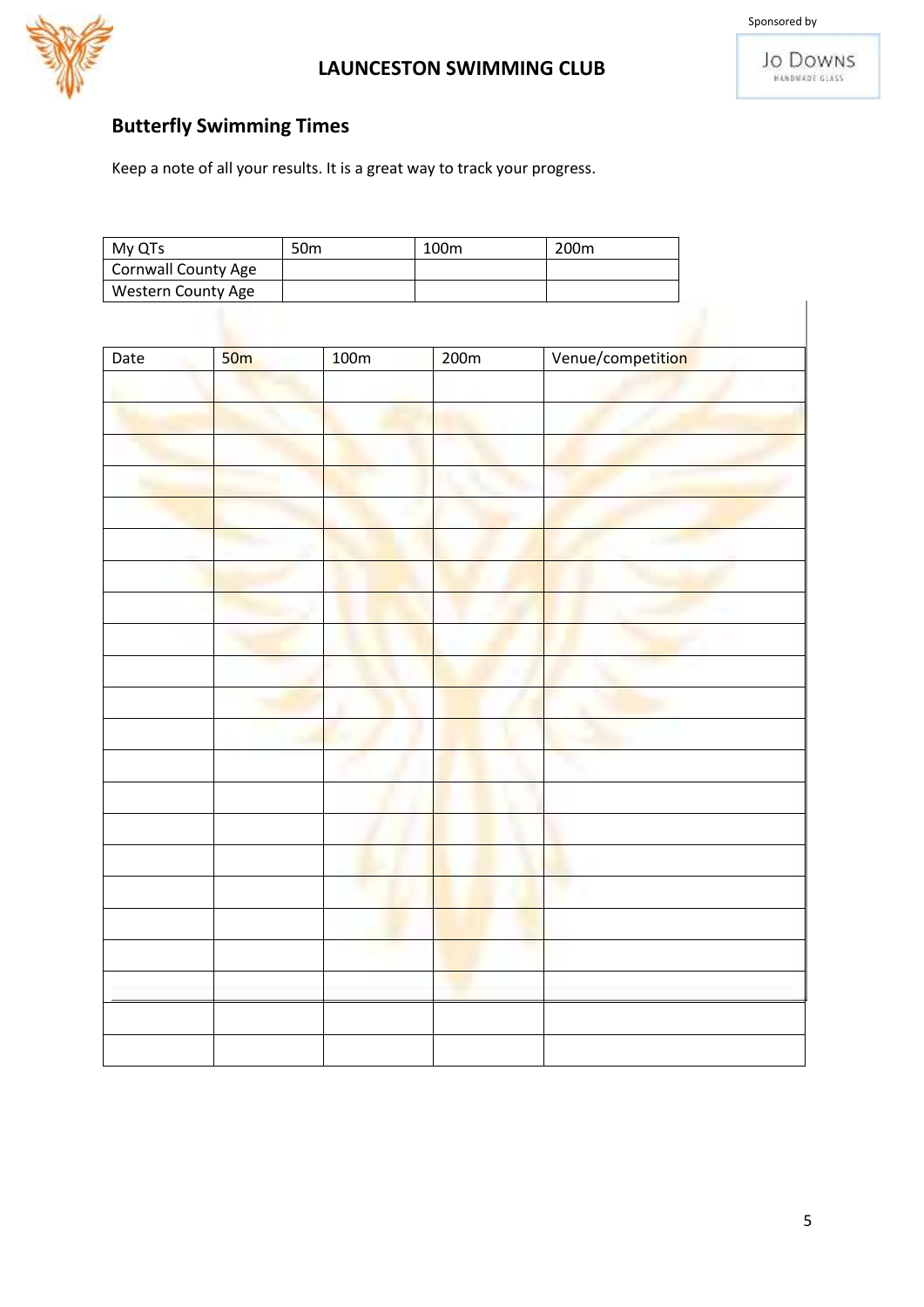



## **Butterfly Swimming Times**

| My QTs              | 50 <sub>m</sub> | 100m | 200 <sub>m</sub> |
|---------------------|-----------------|------|------------------|
| Cornwall County Age |                 |      |                  |
| Western County Age  |                 |      |                  |

| Date | 50 <sub>m</sub> | 100m | 200m | Venue/competition |
|------|-----------------|------|------|-------------------|
|      |                 |      |      |                   |
|      |                 |      |      |                   |
|      |                 |      |      |                   |
|      |                 |      |      |                   |
|      |                 |      |      |                   |
|      |                 |      |      |                   |
|      |                 |      |      |                   |
|      |                 |      |      |                   |
|      |                 |      |      |                   |
|      |                 |      |      |                   |
|      |                 |      |      |                   |
|      |                 |      |      |                   |
|      |                 |      |      |                   |
|      |                 |      |      |                   |
|      |                 |      |      |                   |
|      |                 |      |      |                   |
|      |                 |      |      |                   |
|      |                 |      |      |                   |
|      |                 |      |      |                   |
|      |                 |      |      |                   |
|      |                 |      |      |                   |
|      |                 |      |      |                   |
|      |                 |      |      |                   |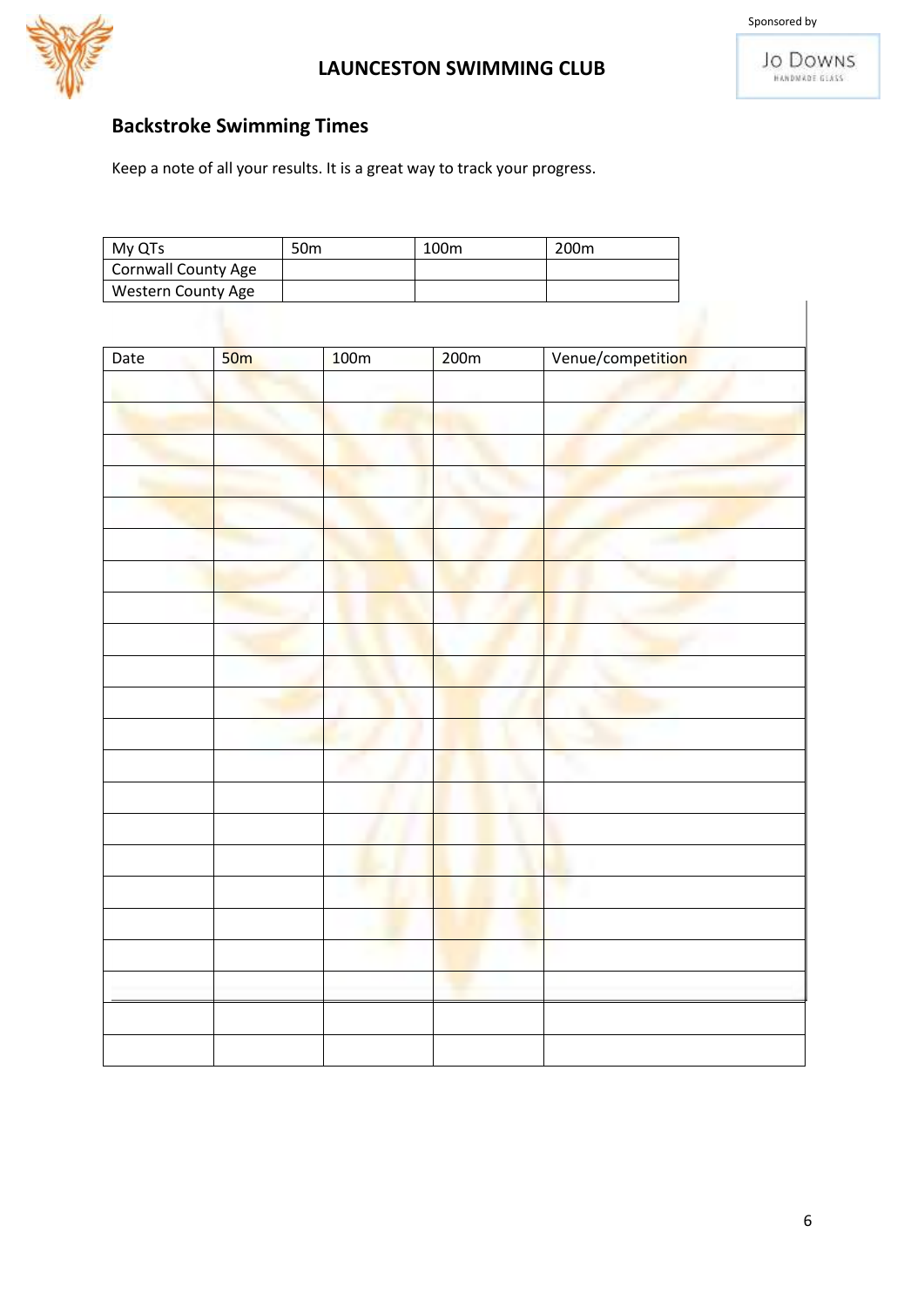



## **Backstroke Swimming Times**

| My QTs              | 50 <sub>m</sub> | 100m | 200 <sub>m</sub> |
|---------------------|-----------------|------|------------------|
| Cornwall County Age |                 |      |                  |
| Western County Age  |                 |      |                  |

| Date | 50 <sub>m</sub> | 100m | 200m | Venue/competition |
|------|-----------------|------|------|-------------------|
|      |                 |      |      |                   |
|      |                 |      |      |                   |
|      |                 |      |      |                   |
|      |                 |      |      |                   |
|      |                 |      |      |                   |
|      |                 |      |      |                   |
|      |                 |      |      |                   |
|      |                 |      |      |                   |
|      |                 |      |      |                   |
|      |                 |      |      |                   |
|      |                 |      |      |                   |
|      |                 |      |      |                   |
|      |                 |      |      |                   |
|      |                 |      |      |                   |
|      |                 |      |      |                   |
|      |                 |      |      |                   |
|      |                 |      |      |                   |
|      |                 |      |      |                   |
|      |                 |      |      |                   |
|      |                 |      |      |                   |
|      |                 |      |      |                   |
|      |                 |      |      |                   |
|      |                 |      |      |                   |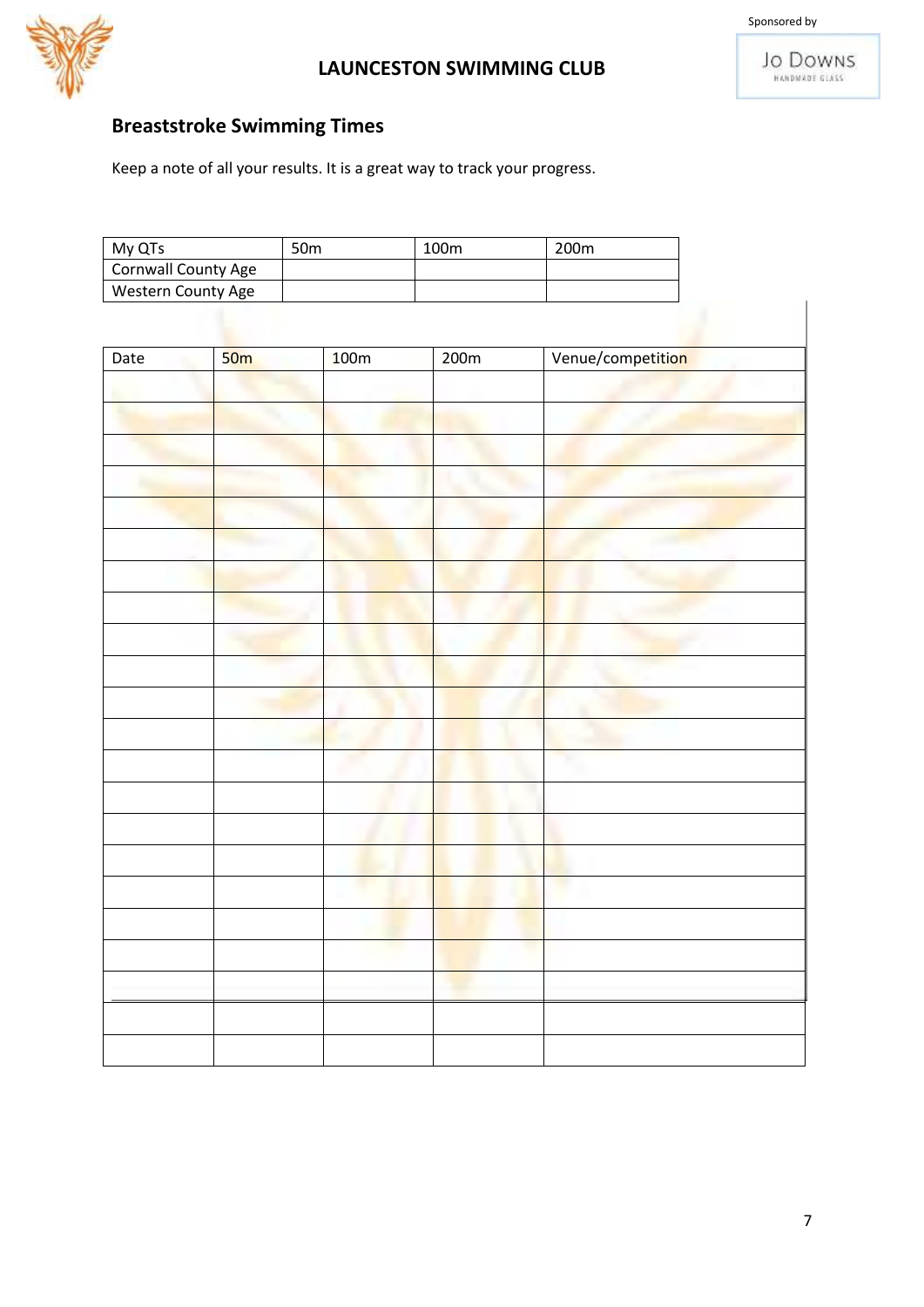



## **Breaststroke Swimming Times**

| My QTs                     | 50m | 100 <sub>m</sub> | 200 <sub>m</sub> |
|----------------------------|-----|------------------|------------------|
| <b>Cornwall County Age</b> |     |                  |                  |
| Western County Age         |     |                  |                  |

| Date | 50 <sub>m</sub> | 100m | 200m | Venue/competition |
|------|-----------------|------|------|-------------------|
|      |                 |      |      |                   |
|      |                 |      |      |                   |
|      |                 |      |      |                   |
|      |                 |      |      |                   |
|      |                 |      |      |                   |
|      |                 |      |      |                   |
|      |                 |      |      |                   |
|      |                 |      |      |                   |
|      |                 |      |      |                   |
|      |                 |      |      |                   |
|      |                 |      |      |                   |
|      |                 |      |      |                   |
|      |                 |      |      |                   |
|      |                 |      |      |                   |
|      |                 |      |      |                   |
|      |                 |      |      |                   |
|      |                 |      |      |                   |
|      |                 |      |      |                   |
|      |                 |      |      |                   |
|      |                 |      |      |                   |
|      |                 |      |      |                   |
|      |                 |      |      |                   |
|      |                 |      |      |                   |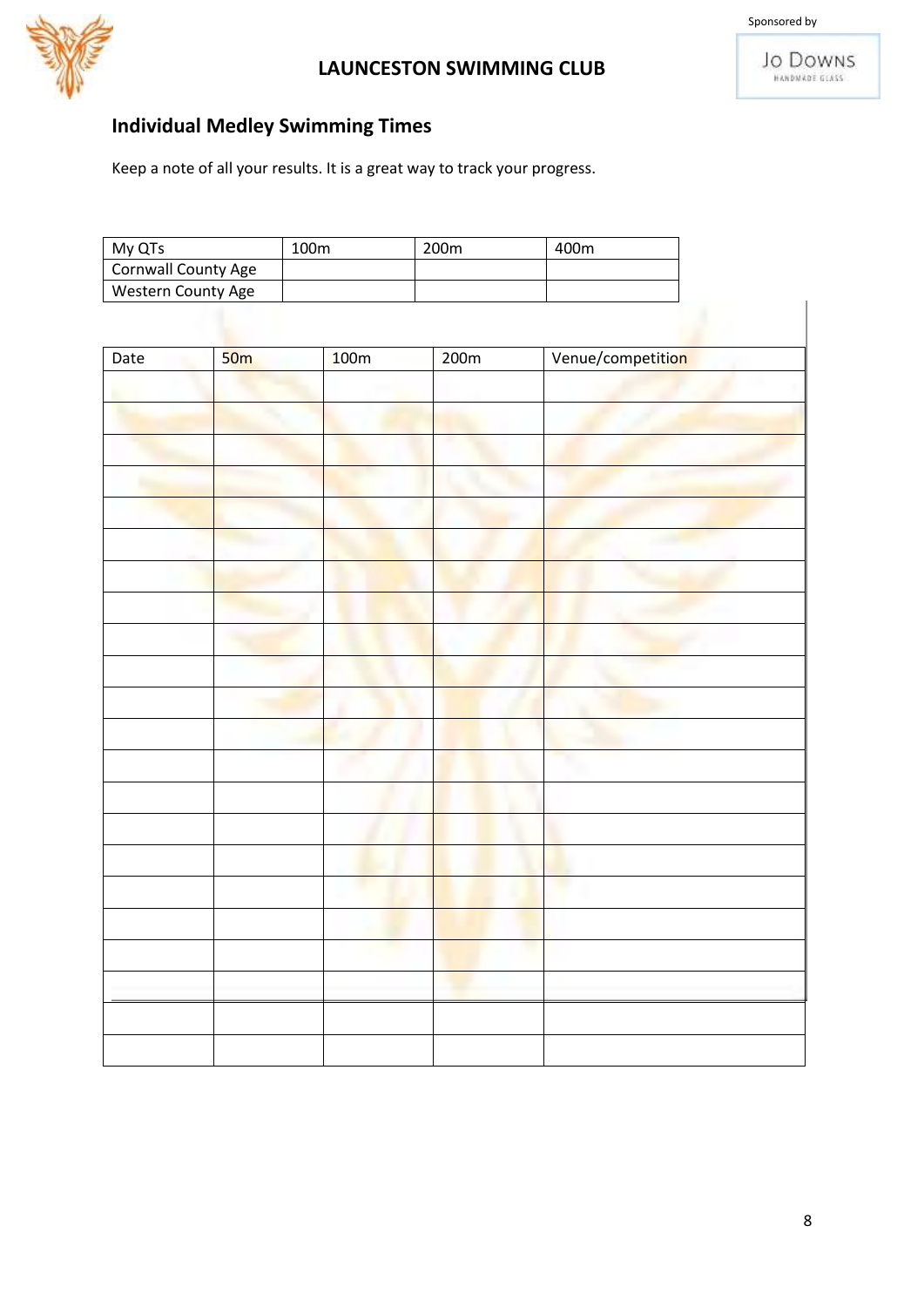



## **Individual Medley Swimming Times**

| My QTs                     | 100m | 200 <sub>m</sub> | 400m |
|----------------------------|------|------------------|------|
| <b>Cornwall County Age</b> |      |                  |      |
| Western County Age         |      |                  |      |

| Date | 50 <sub>m</sub> | 100m | 200m | Venue/competition |
|------|-----------------|------|------|-------------------|
|      |                 |      |      |                   |
|      |                 |      |      |                   |
|      |                 |      |      |                   |
|      |                 |      |      |                   |
|      |                 |      |      |                   |
|      |                 |      |      |                   |
|      |                 |      |      |                   |
|      |                 |      |      |                   |
|      |                 |      |      |                   |
|      |                 |      |      |                   |
|      |                 |      |      |                   |
|      |                 |      |      |                   |
|      |                 |      |      |                   |
|      |                 |      |      |                   |
|      |                 |      |      |                   |
|      |                 |      |      |                   |
|      |                 |      |      |                   |
|      |                 |      |      |                   |
|      |                 |      |      |                   |
|      |                 |      |      |                   |
|      |                 |      |      |                   |
|      |                 |      |      |                   |
|      |                 |      |      |                   |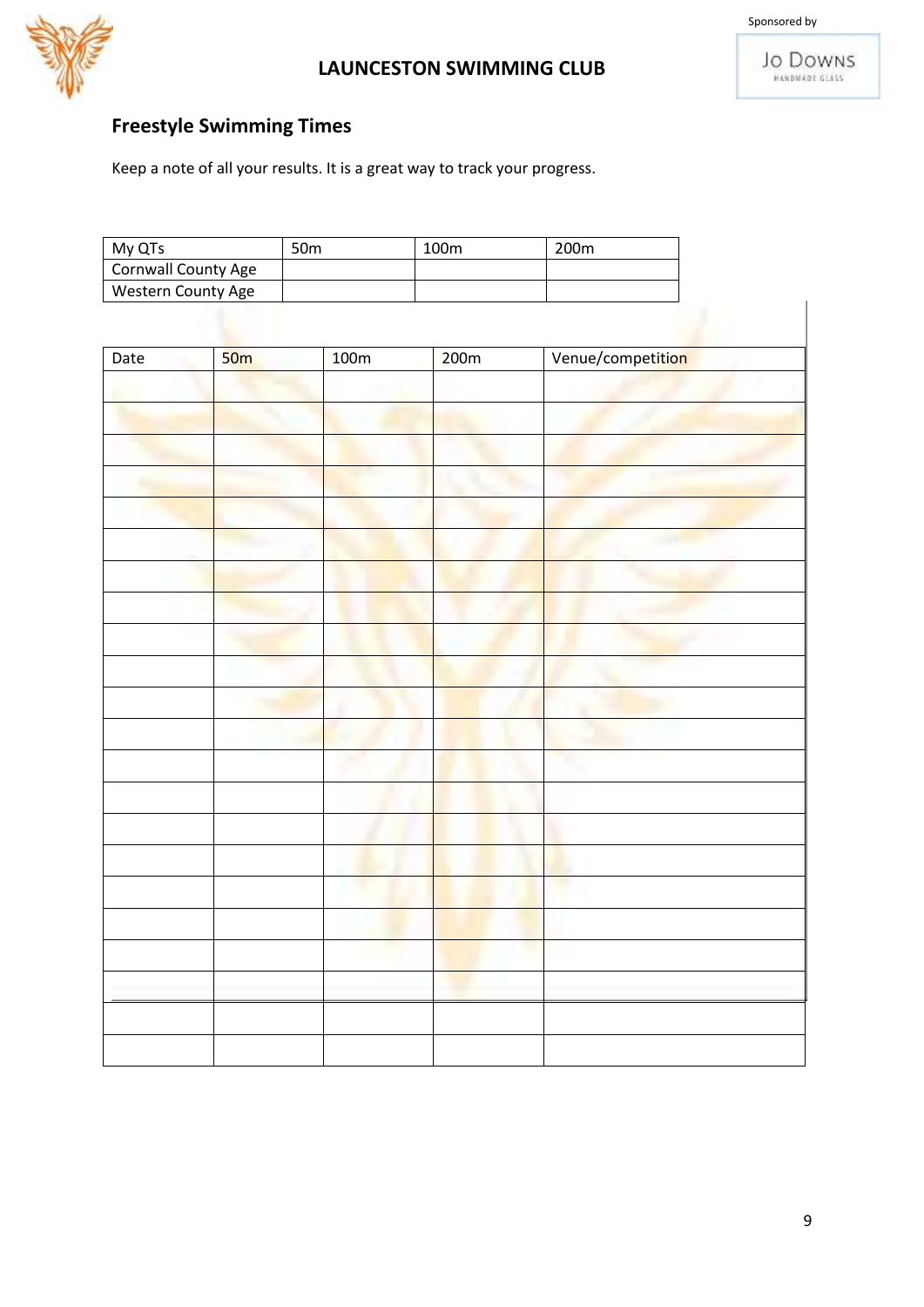



## **Freestyle Swimming Times**

| My QTs              | 50 <sub>m</sub> | 100m | 200 <sub>m</sub> |
|---------------------|-----------------|------|------------------|
| Cornwall County Age |                 |      |                  |
| Western County Age  |                 |      |                  |

| Date | 50 <sub>m</sub> | 100m | 200m | Venue/competition |
|------|-----------------|------|------|-------------------|
|      |                 |      |      |                   |
|      |                 |      |      |                   |
|      |                 |      |      |                   |
|      |                 |      |      |                   |
|      |                 |      |      |                   |
|      |                 |      |      |                   |
|      |                 |      |      |                   |
|      |                 |      |      |                   |
|      |                 |      |      |                   |
|      |                 |      |      |                   |
|      |                 |      |      |                   |
|      |                 |      |      |                   |
|      |                 |      |      |                   |
|      |                 |      |      |                   |
|      |                 |      |      |                   |
|      |                 |      |      |                   |
|      |                 |      |      |                   |
|      |                 |      |      |                   |
|      |                 |      |      |                   |
|      |                 |      |      |                   |
|      |                 |      |      |                   |
|      |                 |      |      |                   |
|      |                 |      |      |                   |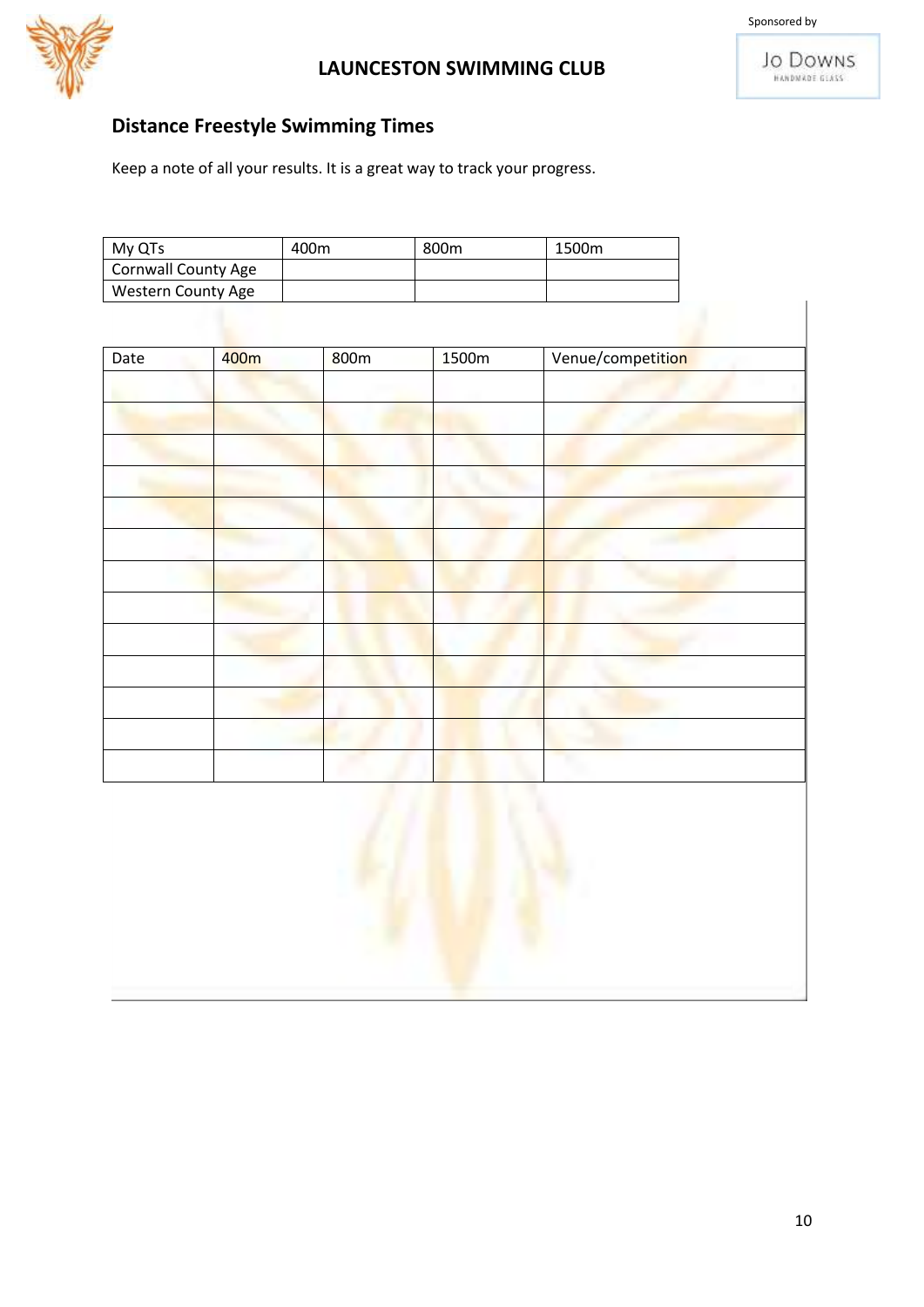



## **Distance Freestyle Swimming Times**

| My QTs              | 400m | 800 <sub>m</sub> | 1500m |
|---------------------|------|------------------|-------|
| Cornwall County Age |      |                  |       |
| Western County Age  |      |                  |       |

| Date | 400m | 800m | 1500m | Venue/competition |
|------|------|------|-------|-------------------|
|      |      |      |       |                   |
|      |      |      |       |                   |
|      |      |      |       |                   |
|      |      |      |       |                   |
|      |      |      |       |                   |
|      |      |      |       |                   |
|      |      |      |       |                   |
|      |      |      |       |                   |
|      |      |      |       |                   |
|      |      |      |       |                   |
|      |      |      |       |                   |
|      |      |      |       |                   |
|      |      |      |       |                   |
|      |      |      |       |                   |

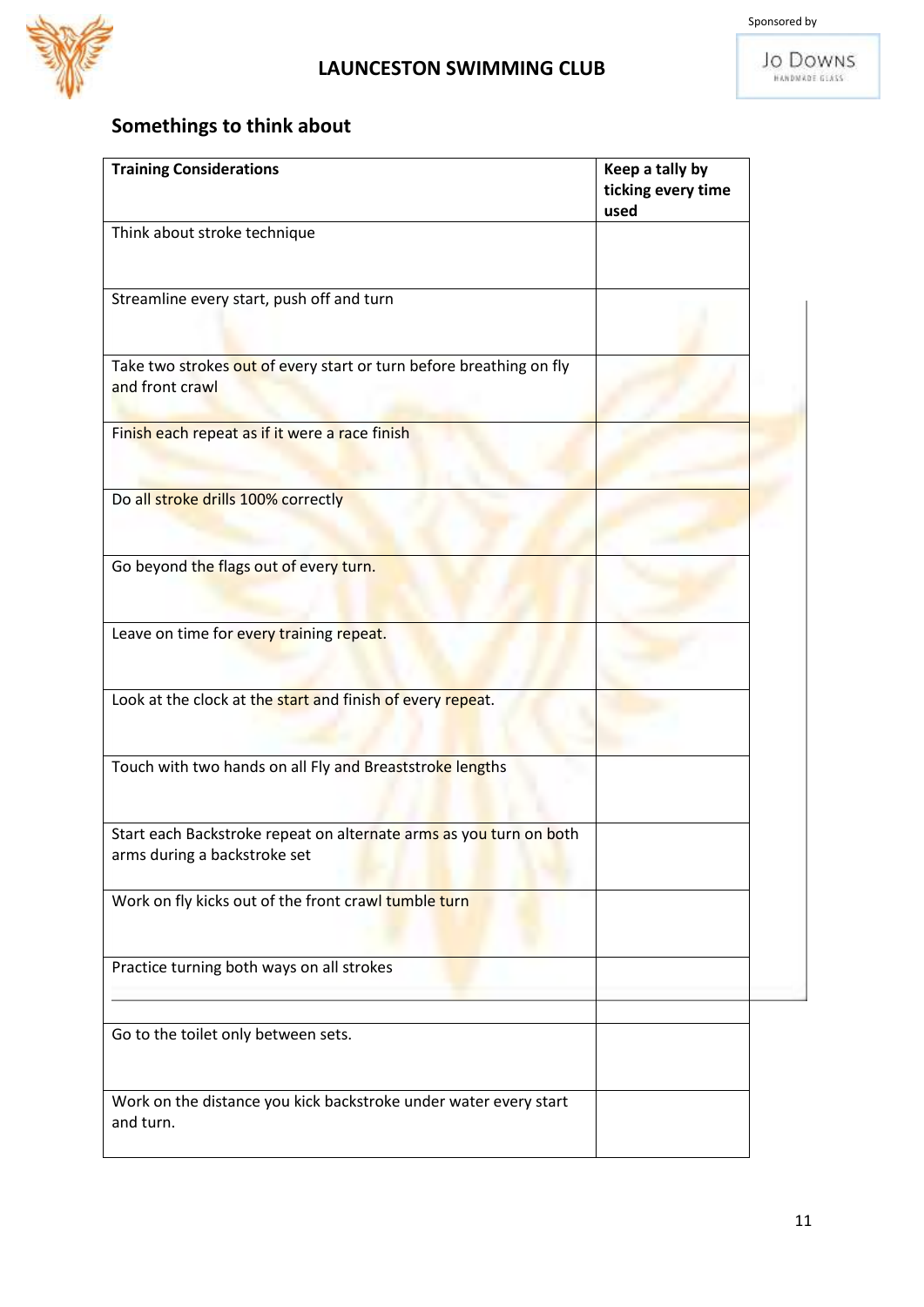

# **Somethings to think about**

| <b>Training Considerations</b>                                                                     | Keep a tally by<br>ticking every time<br>used |
|----------------------------------------------------------------------------------------------------|-----------------------------------------------|
| Think about stroke technique                                                                       |                                               |
| Streamline every start, push off and turn                                                          |                                               |
| Take two strokes out of every start or turn before breathing on fly<br>and front crawl             |                                               |
| Finish each repeat as if it were a race finish                                                     |                                               |
| Do all stroke drills 100% correctly                                                                |                                               |
| Go beyond the flags out of every turn.                                                             |                                               |
| Leave on time for every training repeat.                                                           |                                               |
| Look at the clock at the start and finish of every repeat.                                         |                                               |
| Touch with two hands on all Fly and Breaststroke lengths                                           |                                               |
| Start each Backstroke repeat on alternate arms as you turn on both<br>arms during a backstroke set |                                               |
| Work on fly kicks out of the front crawl tumble turn                                               |                                               |
| Practice turning both ways on all strokes                                                          |                                               |
| Go to the toilet only between sets.                                                                |                                               |
| Work on the distance you kick backstroke under water every start<br>and turn.                      |                                               |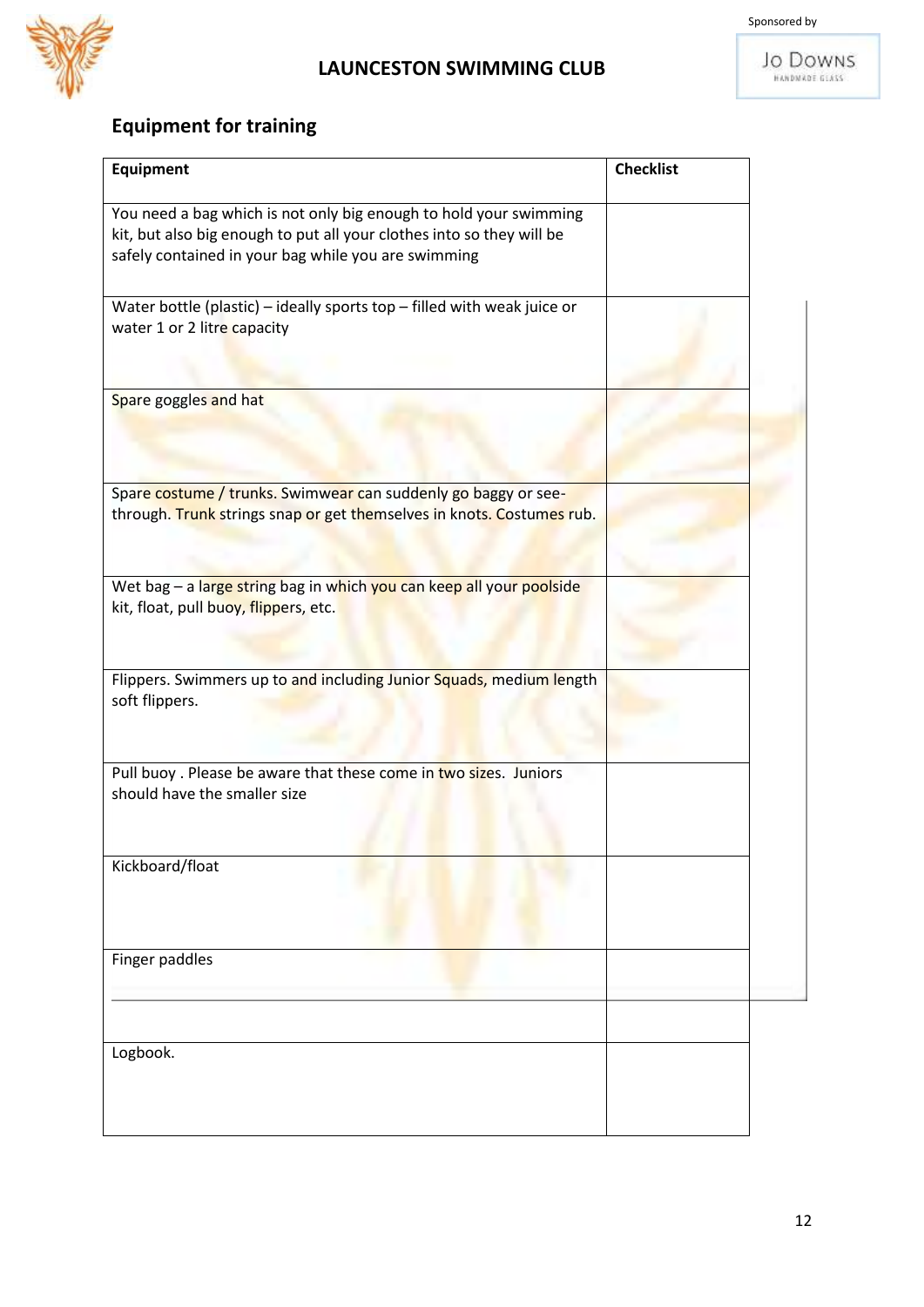

**JO DOWNS** 

# **Equipment for training**

| <b>Equipment</b>                                                                                                                                                                                  | <b>Checklist</b> |
|---------------------------------------------------------------------------------------------------------------------------------------------------------------------------------------------------|------------------|
| You need a bag which is not only big enough to hold your swimming<br>kit, but also big enough to put all your clothes into so they will be<br>safely contained in your bag while you are swimming |                  |
| Water bottle (plastic) – ideally sports top – filled with weak juice or<br>water 1 or 2 litre capacity                                                                                            |                  |
| Spare goggles and hat                                                                                                                                                                             |                  |
| Spare costume / trunks. Swimwear can suddenly go baggy or see-<br>through. Trunk strings snap or get themselves in knots. Costumes rub.                                                           |                  |
| Wet bag - a large string bag in which you can keep all your poolside<br>kit, float, pull buoy, flippers, etc.                                                                                     |                  |
| Flippers. Swimmers up to and including Junior Squads, medium length<br>soft flippers.                                                                                                             |                  |
| Pull buoy . Please be aware that these come in two sizes. Juniors<br>should have the smaller size                                                                                                 |                  |
| Kickboard/float                                                                                                                                                                                   |                  |
| Finger paddles                                                                                                                                                                                    |                  |
| Logbook.                                                                                                                                                                                          |                  |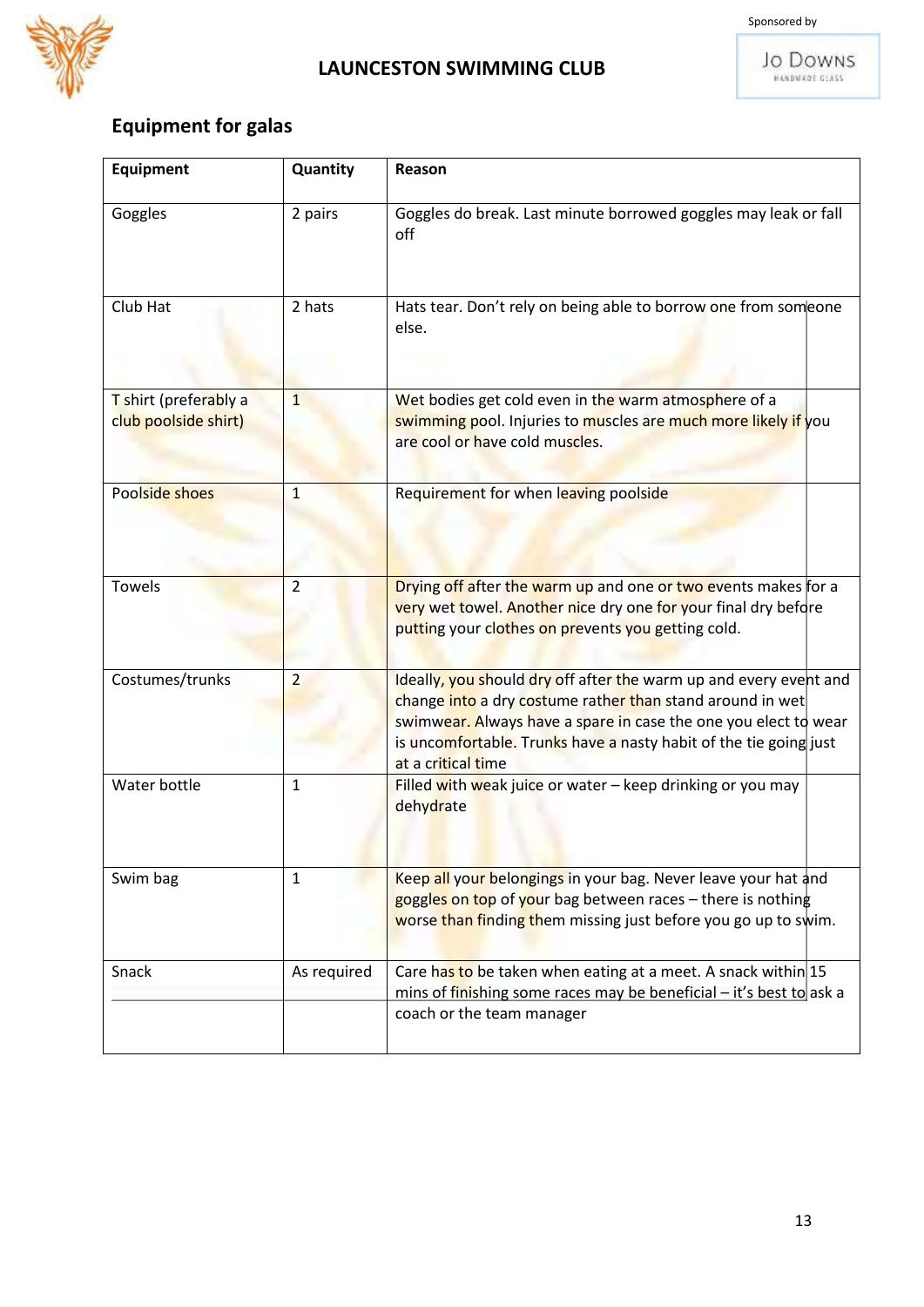

 $\overline{1}$ 

**JO DOWNS** 

# **Equipment for galas**

| <b>Equipment</b>                              | Quantity       | Reason                                                                                                                                                                                                                                                                                       |
|-----------------------------------------------|----------------|----------------------------------------------------------------------------------------------------------------------------------------------------------------------------------------------------------------------------------------------------------------------------------------------|
| Goggles                                       | 2 pairs        | Goggles do break. Last minute borrowed goggles may leak or fall<br>off                                                                                                                                                                                                                       |
| Club Hat                                      | 2 hats         | Hats tear. Don't rely on being able to borrow one from someone<br>else.                                                                                                                                                                                                                      |
| T shirt (preferably a<br>club poolside shirt) | $\overline{1}$ | Wet bodies get cold even in the warm atmosphere of a<br>swimming pool. Injuries to muscles are much more likely if you<br>are cool or have cold muscles.                                                                                                                                     |
| Poolside shoes                                | $\mathbf{1}$   | Requirement for when leaving poolside                                                                                                                                                                                                                                                        |
| <b>Towels</b>                                 | $\overline{2}$ | Drying off after the warm up and one or two events makes for a<br>very wet towel. Another nice dry one for your final dry before<br>putting your clothes on prevents you getting cold.                                                                                                       |
| Costumes/trunks                               | $\overline{2}$ | Ideally, you should dry off after the warm up and every event and<br>change into a dry costume rather than stand around in wet<br>swimwear. Always have a spare in case the one you elect to wear<br>is uncomfortable. Trunks have a nasty habit of the tie going just<br>at a critical time |
| Water bottle                                  | $\mathbf{1}$   | Filled with weak juice or water $-$ keep drinking or you may<br>dehydrate                                                                                                                                                                                                                    |
| Swim bag                                      | $\mathbf{1}$   | Keep all your belongings in your bag. Never leave your hat and<br>goggles on top of your bag between races – there is nothing<br>worse than finding them missing just before you go up to swim.                                                                                              |
| Snack                                         | As required    | Care has to be taken when eating at a meet. A snack within 15<br>mins of finishing some races may be beneficial - it's best to ask a<br>coach or the team manager                                                                                                                            |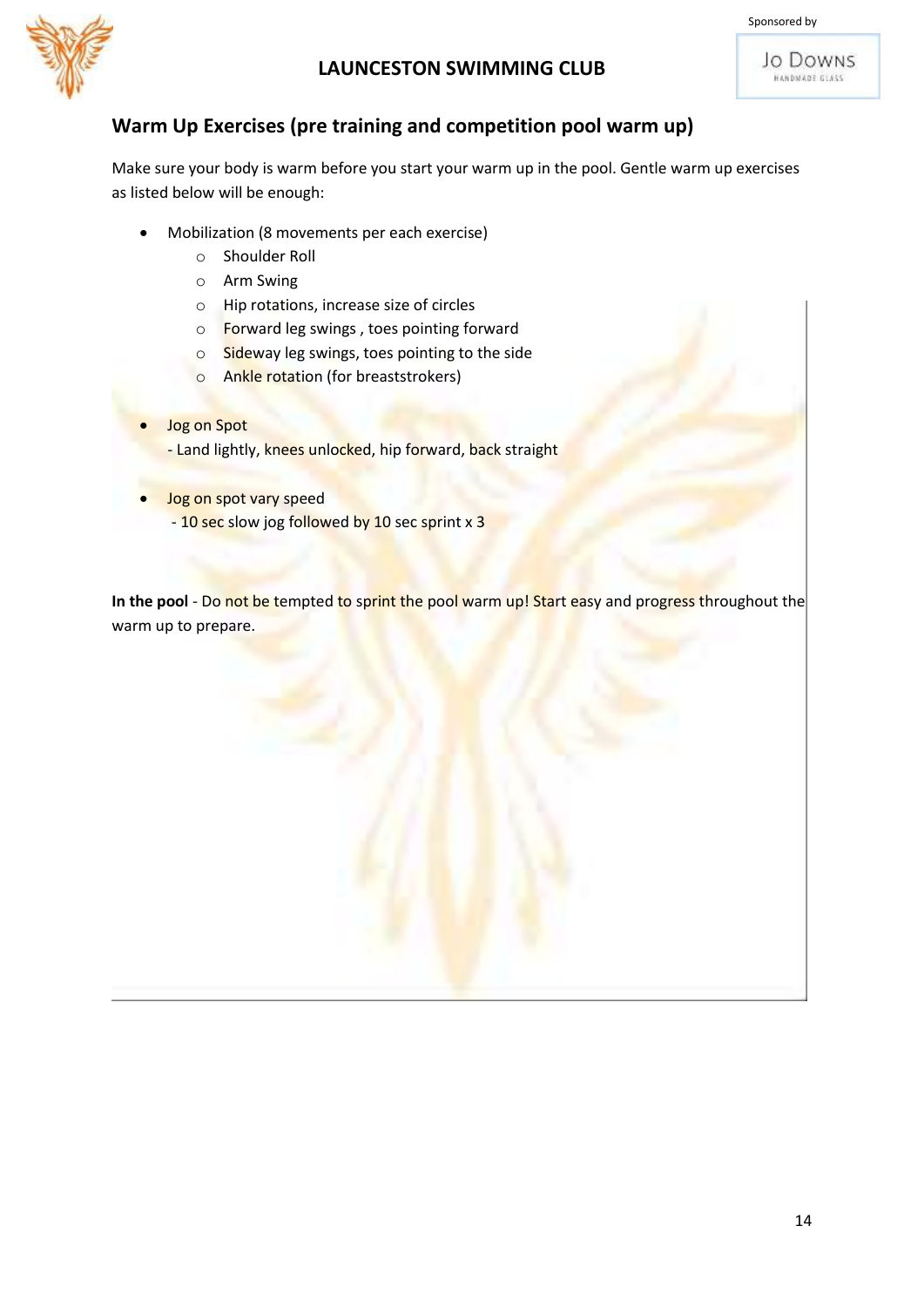

Jo Downs HANDMADE GLASS



#### **Warm Up Exercises (pre training and competition pool warm up)**

Make sure your body is warm before you start your warm up in the pool. Gentle warm up exercises as listed below will be enough:

- Mobilization (8 movements per each exercise)
	- o Shoulder Roll
	- o Arm Swing
	- o Hip rotations, increase size of circles
	- o Forward leg swings , toes pointing forward
	- o Sideway leg swings, toes pointing to the side
	- o Ankle rotation (for breaststrokers)
- Jog on Spot - Land lightly, knees unlocked, hip forward, back straight
	- Jog on spot vary speed
		- 10 sec slow jog followed by 10 sec sprint x 3

In the pool - Do not be tempted to sprint the pool warm up! Start easy and progress throughout the warm up to prepare.